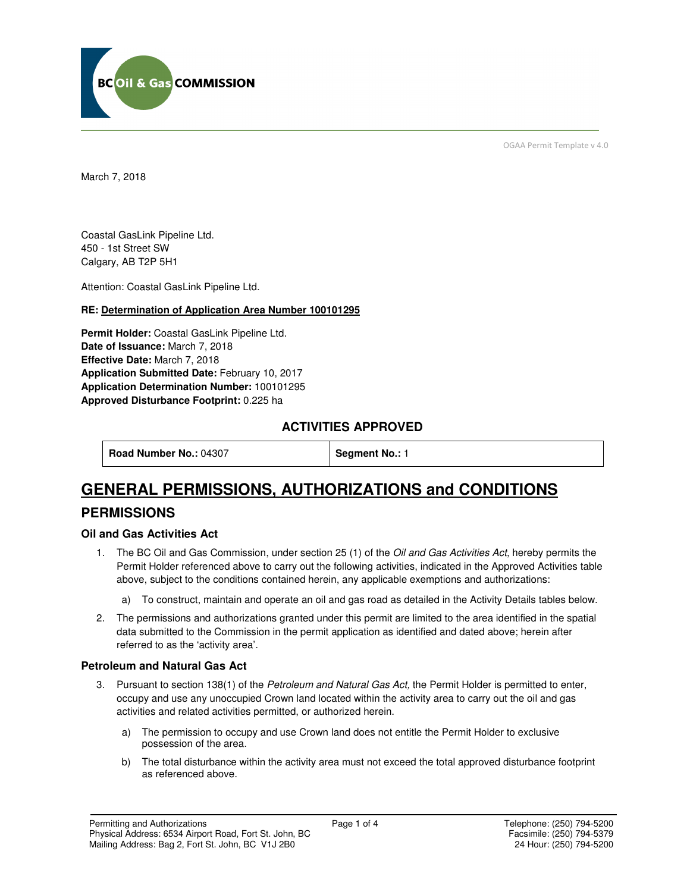

OGAA Permit Template v 4.0

March 7, 2018

Coastal GasLink Pipeline Ltd. 450 - 1st Street SW Calgary, AB T2P 5H1

Attention: Coastal GasLink Pipeline Ltd.

### **RE: Determination of Application Area Number 100101295**

**Permit Holder:** Coastal GasLink Pipeline Ltd. **Date of Issuance:** March 7, 2018 **Effective Date:** March 7, 2018 **Application Submitted Date:** February 10, 2017 **Application Determination Number:** 100101295 **Approved Disturbance Footprint:** 0.225 ha

## **ACTIVITIES APPROVED**

**Road Number No.: 04307 | Segment No.: 1** 

# **GENERAL PERMISSIONS, AUTHORIZATIONS and CONDITIONS**

## **PERMISSIONS**

### **Oil and Gas Activities Act**

- 1. The BC Oil and Gas Commission, under section 25 (1) of the Oil and Gas Activities Act, hereby permits the Permit Holder referenced above to carry out the following activities, indicated in the Approved Activities table above, subject to the conditions contained herein, any applicable exemptions and authorizations:
	- a) To construct, maintain and operate an oil and gas road as detailed in the Activity Details tables below.
- 2. The permissions and authorizations granted under this permit are limited to the area identified in the spatial data submitted to the Commission in the permit application as identified and dated above; herein after referred to as the 'activity area'.

### **Petroleum and Natural Gas Act**

- 3. Pursuant to section 138(1) of the Petroleum and Natural Gas Act, the Permit Holder is permitted to enter, occupy and use any unoccupied Crown land located within the activity area to carry out the oil and gas activities and related activities permitted, or authorized herein.
	- a) The permission to occupy and use Crown land does not entitle the Permit Holder to exclusive possession of the area.
	- b) The total disturbance within the activity area must not exceed the total approved disturbance footprint as referenced above.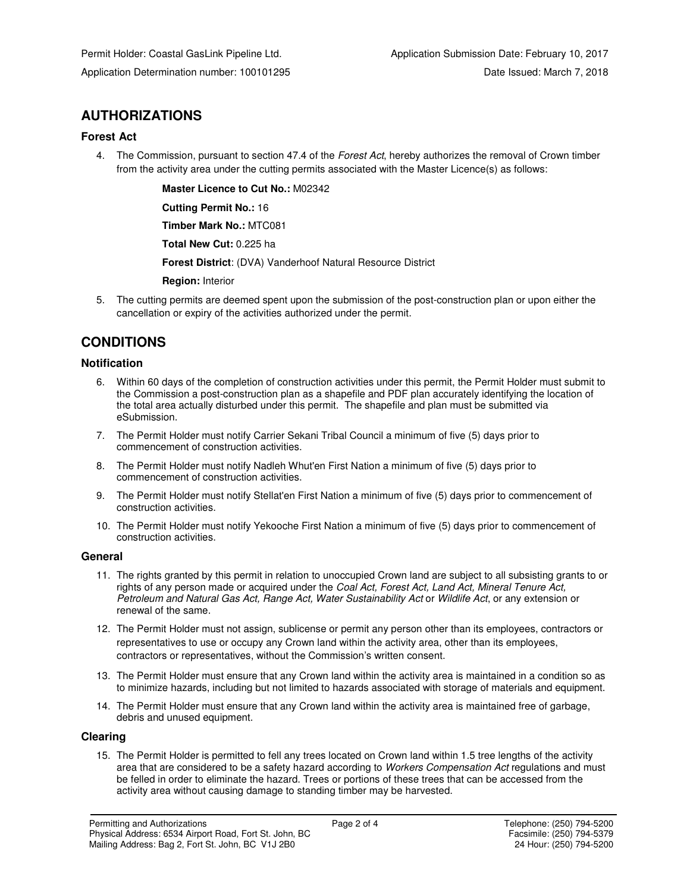## **AUTHORIZATIONS**

### **Forest Act**

4. The Commission, pursuant to section 47.4 of the Forest Act, hereby authorizes the removal of Crown timber from the activity area under the cutting permits associated with the Master Licence(s) as follows:

 **Master Licence to Cut No.:** M02342

 **Cutting Permit No.:** 16

 **Timber Mark No.:** MTC081

 **Total New Cut:** 0.225 ha

 **Forest District**: (DVA) Vanderhoof Natural Resource District

 **Region:** Interior

5. The cutting permits are deemed spent upon the submission of the post-construction plan or upon either the cancellation or expiry of the activities authorized under the permit.

## **CONDITIONS**

### **Notification**

- 6. Within 60 days of the completion of construction activities under this permit, the Permit Holder must submit to the Commission a post-construction plan as a shapefile and PDF plan accurately identifying the location of the total area actually disturbed under this permit. The shapefile and plan must be submitted via eSubmission.
- 7. The Permit Holder must notify Carrier Sekani Tribal Council a minimum of five (5) days prior to commencement of construction activities.
- 8. The Permit Holder must notify Nadleh Whut'en First Nation a minimum of five (5) days prior to commencement of construction activities.
- 9. The Permit Holder must notify Stellat'en First Nation a minimum of five (5) days prior to commencement of construction activities.
- 10. The Permit Holder must notify Yekooche First Nation a minimum of five (5) days prior to commencement of construction activities.

#### **General**

- 11. The rights granted by this permit in relation to unoccupied Crown land are subject to all subsisting grants to or rights of any person made or acquired under the Coal Act, Forest Act, Land Act, Mineral Tenure Act, Petroleum and Natural Gas Act, Range Act, Water Sustainability Act or Wildlife Act, or any extension or renewal of the same.
- 12. The Permit Holder must not assign, sublicense or permit any person other than its employees, contractors or representatives to use or occupy any Crown land within the activity area, other than its employees, contractors or representatives, without the Commission's written consent.
- 13. The Permit Holder must ensure that any Crown land within the activity area is maintained in a condition so as to minimize hazards, including but not limited to hazards associated with storage of materials and equipment.
- 14. The Permit Holder must ensure that any Crown land within the activity area is maintained free of garbage, debris and unused equipment.

#### **Clearing**

15. The Permit Holder is permitted to fell any trees located on Crown land within 1.5 tree lengths of the activity area that are considered to be a safety hazard according to Workers Compensation Act regulations and must be felled in order to eliminate the hazard. Trees or portions of these trees that can be accessed from the activity area without causing damage to standing timber may be harvested.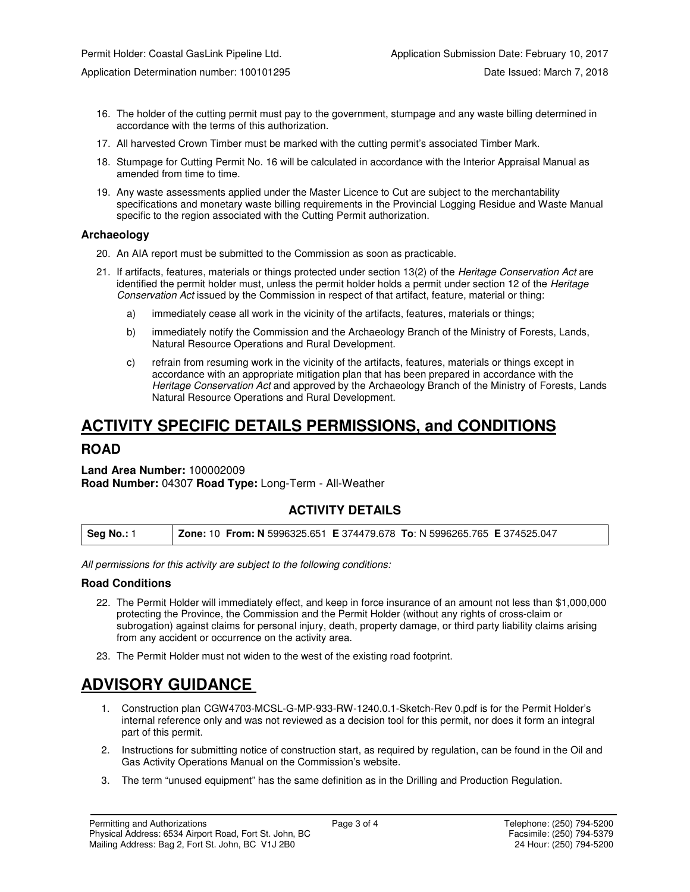- 16. The holder of the cutting permit must pay to the government, stumpage and any waste billing determined in accordance with the terms of this authorization.
- 17. All harvested Crown Timber must be marked with the cutting permit's associated Timber Mark.
- 18. Stumpage for Cutting Permit No. 16 will be calculated in accordance with the Interior Appraisal Manual as amended from time to time.
- 19. Any waste assessments applied under the Master Licence to Cut are subject to the merchantability specifications and monetary waste billing requirements in the Provincial Logging Residue and Waste Manual specific to the region associated with the Cutting Permit authorization.

#### **Archaeology**

- 20. An AIA report must be submitted to the Commission as soon as practicable.
- 21. If artifacts, features, materials or things protected under section 13(2) of the Heritage Conservation Act are identified the permit holder must, unless the permit holder holds a permit under section 12 of the Heritage Conservation Act issued by the Commission in respect of that artifact, feature, material or thing:
	- a) immediately cease all work in the vicinity of the artifacts, features, materials or things;
	- b) immediately notify the Commission and the Archaeology Branch of the Ministry of Forests, Lands, Natural Resource Operations and Rural Development.
	- c) refrain from resuming work in the vicinity of the artifacts, features, materials or things except in accordance with an appropriate mitigation plan that has been prepared in accordance with the Heritage Conservation Act and approved by the Archaeology Branch of the Ministry of Forests, Lands Natural Resource Operations and Rural Development.

# **ACTIVITY SPECIFIC DETAILS PERMISSIONS, and CONDITIONS**

### **ROAD**

**Land Area Number:** 100002009 **Road Number:** 04307 **Road Type:** Long-Term - All-Weather

### **ACTIVITY DETAILS**

| Seg No.: 1 | Zone: 10 From: N 5996325.651 E 374479.678 To: N 5996265.765 E 374525.047 |
|------------|--------------------------------------------------------------------------|
|------------|--------------------------------------------------------------------------|

All permissions for this activity are subject to the following conditions:

#### **Road Conditions**

- 22. The Permit Holder will immediately effect, and keep in force insurance of an amount not less than \$1,000,000 protecting the Province, the Commission and the Permit Holder (without any rights of cross-claim or subrogation) against claims for personal injury, death, property damage, or third party liability claims arising from any accident or occurrence on the activity area.
- 23. The Permit Holder must not widen to the west of the existing road footprint.

# **ADVISORY GUIDANCE**

- 1. Construction plan CGW4703-MCSL-G-MP-933-RW-1240.0.1-Sketch-Rev 0.pdf is for the Permit Holder's internal reference only and was not reviewed as a decision tool for this permit, nor does it form an integral part of this permit.
- 2. Instructions for submitting notice of construction start, as required by regulation, can be found in the Oil and Gas Activity Operations Manual on the Commission's website.
- 3. The term "unused equipment" has the same definition as in the Drilling and Production Regulation.